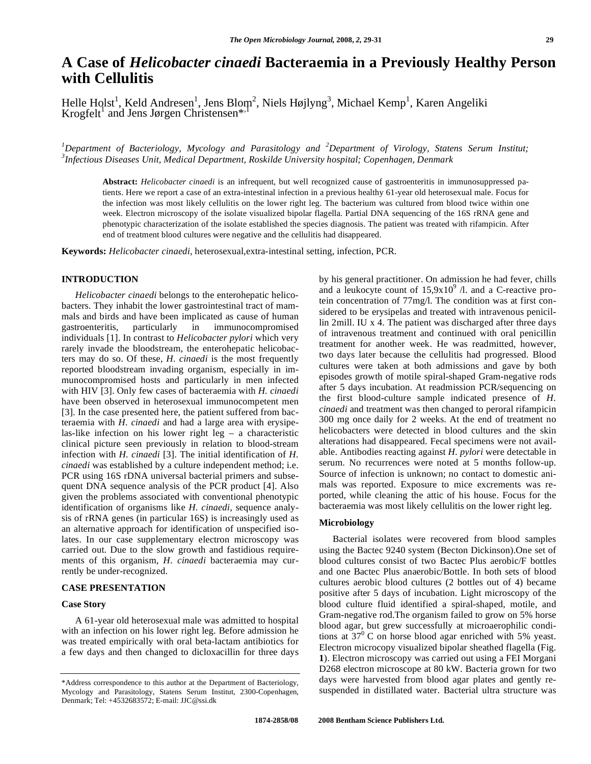# **A Case of** *Helicobacter cinaedi* **Bacteraemia in a Previously Healthy Person with Cellulitis**

Helle Holst<sup>1</sup>, Keld Andresen<sup>1</sup>, Jens Blom<sup>2</sup>, Niels Højlyng<sup>3</sup>, Michael Kemp<sup>1</sup>, Karen Angeliki Krogfelt<sup>1</sup> and Jens Jørgen Christensen<sup>\*,1</sup>

*1 Department of Bacteriology, Mycology and Parasitology and <sup>2</sup> Department of Virology, Statens Serum Institut; 3 Infectious Diseases Unit, Medical Department, Roskilde University hospital; Copenhagen, Denmark* 

**Abstract:** *Helicobacter cinaedi* is an infrequent, but well recognized cause of gastroenteritis in immunosuppressed patients. Here we report a case of an extra-intestinal infection in a previous healthy 61-year old heterosexual male. Focus for the infection was most likely cellulitis on the lower right leg. The bacterium was cultured from blood twice within one week. Electron microscopy of the isolate visualized bipolar flagella. Partial DNA sequencing of the 16S rRNA gene and phenotypic characterization of the isolate established the species diagnosis. The patient was treated with rifampicin. After end of treatment blood cultures were negative and the cellulitis had disappeared.

**Keywords:** *Helicobacter cinaedi,* heterosexual,extra-intestinal setting, infection, PCR.

## **INTRODUCTION**

 *Helicobacter cinaedi* belongs to the enterohepatic helicobacters. They inhabit the lower gastrointestinal tract of mammals and birds and have been implicated as cause of human gastroenteritis, particularly in immunocompromised individuals [1]. In contrast to *Helicobacter pylori* which very rarely invade the bloodstream, the enterohepatic helicobacters may do so. Of these, *H. cinaedi* is the most frequently reported bloodstream invading organism, especially in immunocompromised hosts and particularly in men infected with HIV [3]. Only few cases of bacteraemia with *H. cinaedi* have been observed in heterosexual immunocompetent men [3]. In the case presented here, the patient suffered from bacteraemia with *H. cinaedi* and had a large area with erysipelas-like infection on his lower right  $leg - a$  characteristic clinical picture seen previously in relation to blood-stream infection with *H. cinaedi* [3]. The initial identification of *H. cinaedi* was established by a culture independent method; i.e. PCR using 16S rDNA universal bacterial primers and subsequent DNA sequence analysis of the PCR product [4]. Also given the problems associated with conventional phenotypic identification of organisms like *H. cinaedi,* sequence analysis of rRNA genes (in particular 16S) is increasingly used as an alternative approach for identification of unspecified isolates. In our case supplementary electron microscopy was carried out. Due to the slow growth and fastidious requirements of this organism, *H. cinaedi* bacteraemia may currently be under-recognized.

#### **CASE PRESENTATION**

## **Case Story**

 A 61-year old heterosexual male was admitted to hospital with an infection on his lower right leg. Before admission he was treated empirically with oral beta-lactam antibiotics for a few days and then changed to dicloxacillin for three days by his general practitioner. On admission he had fever, chills and a leukocyte count of  $15,9x10^9$  /l. and a C-reactive protein concentration of 77mg/l. The condition was at first considered to be erysipelas and treated with intravenous penicillin 2mill. IU x 4. The patient was discharged after three days of intravenous treatment and continued with oral penicillin treatment for another week. He was readmitted, however, two days later because the cellulitis had progressed. Blood cultures were taken at both admissions and gave by both episodes growth of motile spiral-shaped Gram-negative rods after 5 days incubation. At readmission PCR/sequencing on the first blood-culture sample indicated presence of *H. cinaedi* and treatment was then changed to peroral rifampicin 300 mg once daily for 2 weeks. At the end of treatment no helicobacters were detected in blood cultures and the skin alterations had disappeared. Fecal specimens were not available. Antibodies reacting against *H. pylori* were detectable in serum. No recurrences were noted at 5 months follow-up. Source of infection is unknown; no contact to domestic animals was reported. Exposure to mice excrements was reported, while cleaning the attic of his house. Focus for the bacteraemia was most likely cellulitis on the lower right leg.

### **Microbiology**

 Bacterial isolates were recovered from blood samples using the Bactec 9240 system (Becton Dickinson).One set of blood cultures consist of two Bactec Plus aerobic/F bottles and one Bactec Plus anaerobic/Bottle. In both sets of blood cultures aerobic blood cultures (2 bottles out of 4) became positive after 5 days of incubation. Light microscopy of the blood culture fluid identified a spiral-shaped, motile, and Gram-negative rod.The organism failed to grow on 5% horse blood agar, but grew successfully at microaerophilic conditions at  $37^{\circ}$  C on horse blood agar enriched with 5% yeast. Electron microcopy visualized bipolar sheathed flagella (Fig. **1**). Electron microscopy was carried out using a FEI Morgani D268 electron microscope at 80 kW. Bacteria grown for two days were harvested from blood agar plates and gently resuspended in distillated water. Bacterial ultra structure was

<sup>\*</sup>Address correspondence to this author at the Department of Bacteriology, Mycology and Parasitology, Statens Serum Institut, 2300-Copenhagen, Denmark; Tel: +4532683572; E-mail: JJC@ssi.dk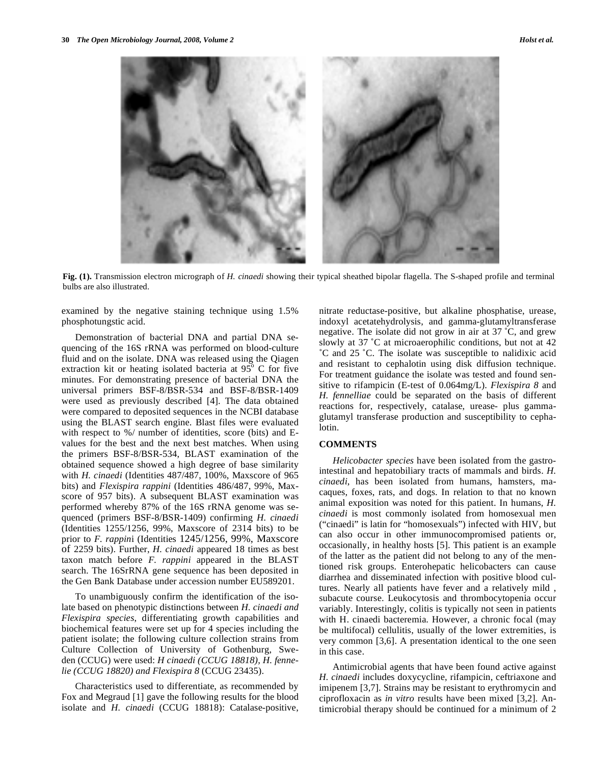

**Fig. (1).** Transmission electron micrograph of *H. cinaedi* showing their typical sheathed bipolar flagella. The S-shaped profile and terminal bulbs are also illustrated.

examined by the negative staining technique using 1.5% phosphotungstic acid.

 Demonstration of bacterial DNA and partial DNA sequencing of the 16S rRNA was performed on blood-culture fluid and on the isolate. DNA was released using the Qiagen extraction kit or heating isolated bacteria at  $95^\circ$  C for five minutes. For demonstrating presence of bacterial DNA the universal primers BSF-8/BSR-534 and BSF-8/BSR-1409 were used as previously described [4]. The data obtained were compared to deposited sequences in the NCBI database using the BLAST search engine. Blast files were evaluated with respect to %/ number of identities, score (bits) and Evalues for the best and the next best matches. When using the primers BSF-8/BSR-534, BLAST examination of the obtained sequence showed a high degree of base similarity with *H. cinaedi* (Identities 487/487, 100%, Maxscore of 965 bits) and *Flexispira rappini* (Identities 486/487, 99%, Maxscore of 957 bits). A subsequent BLAST examination was performed whereby 87% of the 16S rRNA genome was sequenced (primers BSF-8/BSR-1409) confirming *H. cinaedi* (Identities 1255/1256, 99%, Maxscore of 2314 bits) to be prior to *F. rappin*i (Identities 1245/1256, 99%, Maxscore of 2259 bits). Further, *H. cinaedi* appeared 18 times as best taxon match before *F. rappini* appeared in the BLAST search. The 16SrRNA gene sequence has been deposited in the Gen Bank Database under accession number EU589201.

 To unambiguously confirm the identification of the isolate based on phenotypic distinctions between *H. cinaedi and Flexispira species*, differentiating growth capabilities and biochemical features were set up for 4 species including the patient isolate; the following culture collection strains from Culture Collection of University of Gothenburg, Sweden (CCUG) were used: *H cinaedi (CCUG 18818), H. fennelie (CCUG 18820) and Flexispira 8* (CCUG 23435).

 Characteristics used to differentiate, as recommended by Fox and Megraud [1] gave the following results for the blood isolate and *H. cinaedi* (CCUG 18818): Catalase-positive, nitrate reductase-positive, but alkaline phosphatise, urease, indoxyl acetatehydrolysis, and gamma-glutamyltransferase negative. The isolate did not grow in air at 37 ˚C, and grew slowly at 37 ˚C at microaerophilic conditions, but not at 42 ˚C and 25 ˚C. The isolate was susceptible to nalidixic acid and resistant to cephalotin using disk diffusion technique. For treatment guidance the isolate was tested and found sensitive to rifampicin (E-test of 0.064mg/L). *Flexispira 8* and *H. fennelliae* could be separated on the basis of different reactions for, respectively, catalase, urease- plus gammaglutamyl transferase production and susceptibility to cephalotin.

## **COMMENTS**

 *Helicobacter species* have been isolated from the gastrointestinal and hepatobiliary tracts of mammals and birds. *H. cinaedi*, has been isolated from humans, hamsters, macaques, foxes, rats, and dogs. In relation to that no known animal exposition was noted for this patient. In humans, *H. cinaedi* is most commonly isolated from homosexual men ("cinaedi" is latin for "homosexuals") infected with HIV, but can also occur in other immunocompromised patients or, occasionally, in healthy hosts [5]. This patient is an example of the latter as the patient did not belong to any of the mentioned risk groups. Enterohepatic helicobacters can cause diarrhea and disseminated infection with positive blood cultures. Nearly all patients have fever and a relatively mild , subacute course. Leukocytosis and thrombocytopenia occur variably. Interestingly, colitis is typically not seen in patients with H. cinaedi bacteremia. However, a chronic focal (may be multifocal) cellulitis, usually of the lower extremities, is very common [3,6]. A presentation identical to the one seen in this case.

 Antimicrobial agents that have been found active against *H. cinaedi* includes doxycycline, rifampicin, ceftriaxone and imipenem [3,7]. Strains may be resistant to erythromycin and ciprofloxacin as *in vitro* results have been mixed [3,2]. Antimicrobial therapy should be continued for a minimum of 2